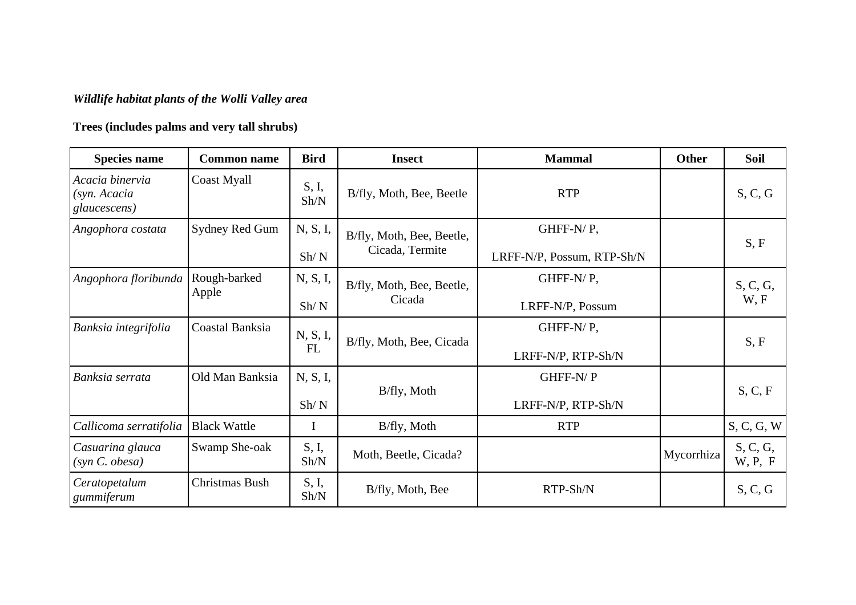## *Wildlife habitat plants of the Wolli Valley area*

## **Trees (includes palms and very tall shrubs)**

| <b>Species name</b>                             | <b>Common name</b>    | <b>Bird</b>            | <b>Insect</b>                                | <b>Mammal</b>              | Other      | <b>Soil</b>         |
|-------------------------------------------------|-----------------------|------------------------|----------------------------------------------|----------------------------|------------|---------------------|
| Acacia binervia<br>(syn. Acacia<br>glaucescens) | Coast Myall           | S, I,<br>Sh/N          | B/fly, Moth, Bee, Beetle                     | <b>RTP</b>                 |            | S, C, G             |
| Angophora costata                               | Sydney Red Gum        | N, S, I,               | B/fly, Moth, Bee, Beetle,<br>Cicada, Termite | GHFF-N/P,                  |            | S, F                |
|                                                 |                       | Sh/N                   |                                              | LRFF-N/P, Possum, RTP-Sh/N |            |                     |
| Angophora floribunda                            | Rough-barked<br>Apple | N, S, I,               | B/fly, Moth, Bee, Beetle,<br>Cicada          | GHFF-N/P,                  |            | S, C, G,<br>W, F    |
|                                                 |                       | Sh/N                   |                                              | LRFF-N/P, Possum           |            |                     |
| Banksia integrifolia                            | Coastal Banksia       | N, S, I,<br>${\rm FL}$ | B/fly, Moth, Bee, Cicada                     | GHFF-N/P,                  |            | S, F                |
|                                                 |                       |                        |                                              | LRFF-N/P, RTP-Sh/N         |            |                     |
| Banksia serrata                                 | Old Man Banksia       | N, S, I,               | B/fly, Moth                                  | GHFF-N/P                   |            | S, C, F             |
|                                                 |                       | Sh/N                   |                                              | LRFF-N/P, RTP-Sh/N         |            |                     |
| Callicoma serratifolia                          | <b>Black Wattle</b>   | I                      | B/fly, Moth                                  | <b>RTP</b>                 |            | S, C, G, W          |
| Casuarina glauca<br>(syn C. obesa)              | Swamp She-oak         | S, I,<br>Sh/N          | Moth, Beetle, Cicada?                        |                            | Mycorrhiza | S, C, G,<br>W, P, F |
| Ceratopetalum<br>gummiferum                     | Christmas Bush        | S, I,<br>Sh/N          | B/fly, Moth, Bee                             | RTP-Sh/N                   |            | S, C, G             |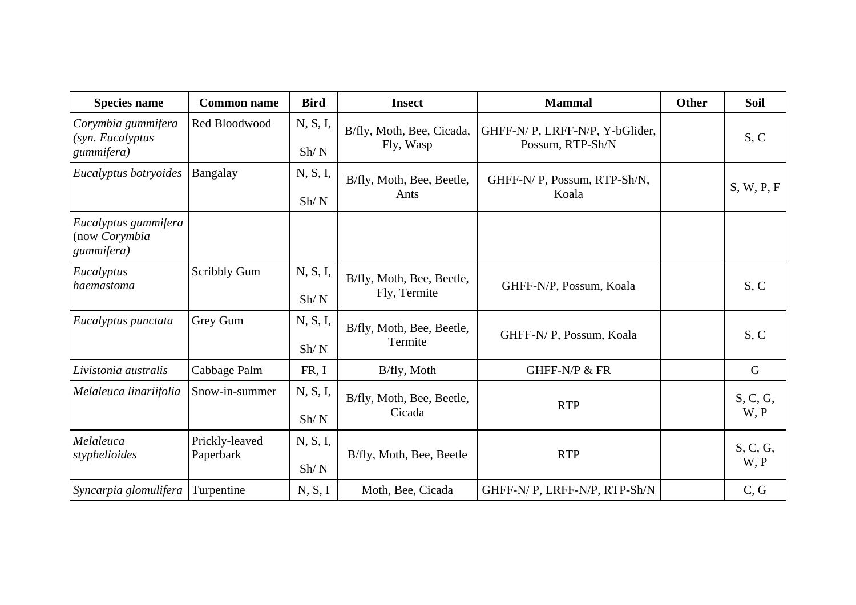| <b>Species name</b>                                  | <b>Common name</b>          | <b>Bird</b>      | <b>Insect</b>                             | <b>Mammal</b>                                      | Other | <b>Soil</b>      |
|------------------------------------------------------|-----------------------------|------------------|-------------------------------------------|----------------------------------------------------|-------|------------------|
| Corymbia gummifera<br>(syn. Eucalyptus<br>gummifera) | Red Bloodwood               | N, S, I,<br>Sh/N | B/fly, Moth, Bee, Cicada,<br>Fly, Wasp    | GHFF-N/P, LRFF-N/P, Y-bGlider,<br>Possum, RTP-Sh/N |       | S, C             |
| Eucalyptus botryoides                                | Bangalay                    | N, S, I,<br>Sh/N | B/fly, Moth, Bee, Beetle,<br>Ants         | GHFF-N/P, Possum, RTP-Sh/N,<br>Koala               |       | S, W, P, F       |
| Eucalyptus gummifera<br>(now Corymbia<br>gummifera)  |                             |                  |                                           |                                                    |       |                  |
| Eucalyptus<br>haemastoma                             | <b>Scribbly Gum</b>         | N, S, I,<br>Sh/N | B/fly, Moth, Bee, Beetle,<br>Fly, Termite | GHFF-N/P, Possum, Koala                            |       | S, C             |
| Eucalyptus punctata                                  | Grey Gum                    | N, S, I,<br>Sh/N | B/fly, Moth, Bee, Beetle,<br>Termite      | GHFF-N/P, Possum, Koala                            |       | S, C             |
| Livistonia australis                                 | Cabbage Palm                | FR, I            | B/fly, Moth                               | GHFF-N/P & FR                                      |       | $\mathbf G$      |
| Melaleuca linariifolia                               | Snow-in-summer              | N, S, I,<br>Sh/N | B/fly, Moth, Bee, Beetle,<br>Cicada       | <b>RTP</b>                                         |       | S, C, G,<br>W, P |
| Melaleuca<br>styphelioides                           | Prickly-leaved<br>Paperbark | N, S, I,<br>Sh/N | B/fly, Moth, Bee, Beetle                  | <b>RTP</b>                                         |       | S, C, G,<br>W, P |
| Syncarpia glomulifera                                | Turpentine                  | N, S, I          | Moth, Bee, Cicada                         | GHFF-N/P, LRFF-N/P, RTP-Sh/N                       |       | C, G             |